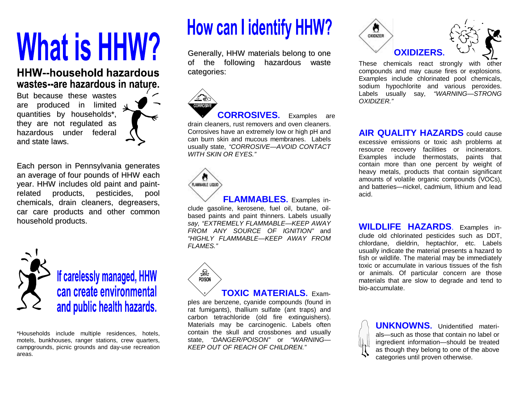# **What is HHW?**

### **HHW--household hazardous** wastes--are hazardous in nature.

But because these wastes are produced in limited quantities by households\*, they are not regulated as hazardous under federal and state laws.



Each person in Pennsylvania generates an average of four pounds of HHW each year. HHW includes old paint and paintrelated products, pesticides, pool chemicals, drain cleaners, degreasers, car care products and other common household products.



If carelessly managed, HHW can create environmental and public health hazards.

\*Households include multiple residences, hotels, motels, bunkhouses, ranger stations, crew quarters, campgrounds, picnic grounds and day-use recreation areas.

### **How can I identify HHW?**

Generally, HHW materials belong to one of the following hazardous waste categories:



**CORROSIVES.** Examples are drain cleaners, rust removers and oven cleaners. Corrosives have an extremely low or high pH and can burn skin and mucous membranes. Labels usually state, "CORROSIVE-AVOID CONTACT *WITH SKIN OR EYES."*



**FLAMMABLES.** Examples include gasoline, kerosene, fuel oil, butane, oilbased paints and paint thinners. Labels usually *say, "EXTREMELY FLAMMABLE— KEEP AWAY FROM ANY SOURCE OF IGNITION"* and *"HIGHLY FLAMMABLE— KEEP AWAY FROM FLAMES."*



#### **TOXIC MATERIALS.** Exam-

ples are benzene, cyanide compounds (found in rat fumigants), thallium sulfate (ant traps) and carbon tetrachloride (old fire extinguishers). Materials may be carcinogenic. Labels often contain the skull and crossbones and usually state, *"DANGER/POISON"* or *"WARNING— KEEP OUT OF REACH OF CHILDREN."*



These chemicals react strongly with other compounds and may cause fires or explosions. Examples include chlorinated pool chemicals, sodium hypochlorite and various peroxides. Labels usually say, "WARNING-STRONG *OXIDIZER."*

**AIR QUALITY HAZARDS** could cause excessive emissions or toxic ash problems at resource recovery facilities or incinerators. Examples include thermostats, paints that contain more than one percent by weight of heavy metals, products that contain significant amounts of volatile organic compounds (VOCs), and batteries— nickel, cadmium, lithium and lead acid.

**WILDLIFE HAZARDS**. Examples include old chlorinated pesticides such as DDT, chlordane, dieldrin, heptachlor, etc. Labels usually indicate the material presents a hazard to fish or wildlife. The material may be immediately toxic or accumulate in various tissues of the fish or animals. Of particular concern are those materials that are slow to degrade and tend to bio-accumulate.

> **UNKNOWNS.** Unidentified materials— such as those that contain no label or ingredient information— should be treated as though they belong to one of the above categories until proven otherwise.